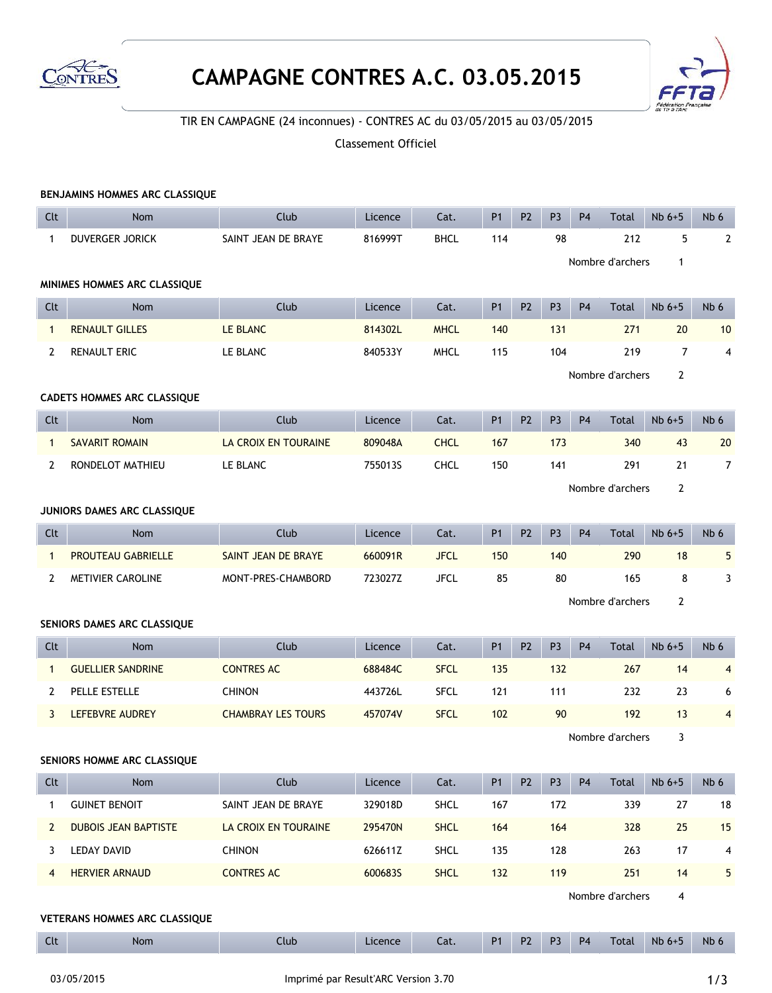

## **CAMPAGNE CONTRES A.C. 03.05.2015**



## TIR EN CAMPAGNE (24 inconnues) - CONTRES AC du 03/05/2015 au 03/05/2015

## Classement Officiel

| BENJAMINS HOMMES ARC CLASSIQUE |                                  |                           |         |             |                |                |                                  |                |                  |                |                |  |  |
|--------------------------------|----------------------------------|---------------------------|---------|-------------|----------------|----------------|----------------------------------|----------------|------------------|----------------|----------------|--|--|
| Clt                            | <b>Nom</b>                       | Club                      | Licence | Cat.        | <b>P1</b>      | P <sub>2</sub> | P <sub>3</sub>                   | P <sub>4</sub> | Total            | $Nb6+5$        | Nb 6           |  |  |
| $\mathbf{1}$                   | <b>DUVERGER JORICK</b>           | SAINT JEAN DE BRAYE       | 816999T | <b>BHCL</b> | 114            |                | 98                               |                | 212              | 5              | $\mathbf{2}$   |  |  |
|                                | Nombre d'archers<br>$\mathbf{1}$ |                           |         |             |                |                |                                  |                |                  |                |                |  |  |
| MINIMES HOMMES ARC CLASSIQUE   |                                  |                           |         |             |                |                |                                  |                |                  |                |                |  |  |
| Clt                            | Nom                              | Club                      | Licence | Cat.        | <b>P1</b>      | P <sub>2</sub> | P <sub>3</sub>                   | P <sub>4</sub> | Total            | $Nb6+5$        | Nb 6           |  |  |
| $\mathbf{1}$                   | <b>RENAULT GILLES</b>            | LE BLANC                  | 814302L | <b>MHCL</b> | 140            |                | 131                              |                | 271              | 20             | 10             |  |  |
| $\mathbf{2}$                   | <b>RENAULT ERIC</b>              | LE BLANC                  | 840533Y | <b>MHCL</b> | 115            |                | 104                              |                | 219              | $\overline{7}$ | 4              |  |  |
|                                |                                  |                           |         |             |                |                | Nombre d'archers<br>$\mathbf{2}$ |                |                  |                |                |  |  |
| CADETS HOMMES ARC CLASSIQUE    |                                  |                           |         |             |                |                |                                  |                |                  |                |                |  |  |
| Clt                            | <b>Nom</b>                       | Club                      | Licence | Cat.        | <b>P1</b>      | <b>P2</b>      | P <sub>3</sub>                   | <b>P4</b>      | Total            | $Nb6+5$        | Nb 6           |  |  |
| $\mathbf{1}$                   | <b>SAVARIT ROMAIN</b>            | LA CROIX EN TOURAINE      | 809048A | <b>CHCL</b> | 167            |                | 173                              |                | 340              | 43             | 20             |  |  |
| 2                              | RONDELOT MATHIEU                 | LE BLANC                  | 755013S | <b>CHCL</b> | 150            |                | 141                              |                | 291              | 21             | $\overline{7}$ |  |  |
|                                |                                  |                           |         |             |                |                |                                  |                | Nombre d'archers | $\overline{2}$ |                |  |  |
| JUNIORS DAMES ARC CLASSIQUE    |                                  |                           |         |             |                |                |                                  |                |                  |                |                |  |  |
| Clt                            | Nom                              | Club                      | Licence | Cat.        | <b>P1</b>      | P <sub>2</sub> | P <sub>3</sub>                   | P <sub>4</sub> | Total            | $Nb6+5$        | Nb 6           |  |  |
| $\mathbf{1}$                   | <b>PROUTEAU GABRIELLE</b>        | SAINT JEAN DE BRAYE       | 660091R | <b>JFCL</b> | 150            |                | 140                              |                | 290              | 18             | 5              |  |  |
| $\mathbf{2}$                   | METIVIER CAROLINE                | MONT-PRES-CHAMBORD        | 723027Z | <b>JFCL</b> | 85             |                | 80                               |                | 165              | 8              | 3              |  |  |
|                                | Nombre d'archers                 |                           |         |             |                |                |                                  |                |                  | 2              |                |  |  |
| SENIORS DAMES ARC CLASSIQUE    |                                  |                           |         |             |                |                |                                  |                |                  |                |                |  |  |
| Clt                            | Nom                              | Club                      | Licence | Cat.        | P <sub>1</sub> | P <sub>2</sub> | P <sub>3</sub>                   | <b>P4</b>      | Total            | $Nb6+5$        | Nb 6           |  |  |
| $\mathbf{1}$                   | <b>GUELLIER SANDRINE</b>         | <b>CONTRES AC</b>         | 688484C | <b>SFCL</b> | 135            |                | 132                              |                | 267              | 14             | $\overline{4}$ |  |  |
| 2                              | PELLE ESTELLE                    | <b>CHINON</b>             | 443726L | <b>SFCL</b> | 121            |                | 111                              |                | 232              | 23             | 6              |  |  |
| 3                              | LEFEBVRE AUDREY                  | <b>CHAMBRAY LES TOURS</b> | 457074V | <b>SFCL</b> | 102            |                | 90                               |                | 192              | 13             | $\overline{4}$ |  |  |
|                                | Nombre d'archers<br>3            |                           |         |             |                |                |                                  |                |                  |                |                |  |  |
| SENIORS HOMME ARC CLASSIQUE    |                                  |                           |         |             |                |                |                                  |                |                  |                |                |  |  |
| Clt                            | Nom                              | Club                      | Licence | Cat.        | P <sub>1</sub> | P <sub>2</sub> | P <sub>3</sub>                   | P <sub>4</sub> | Total            | $Nb6+5$        | Nb 6           |  |  |
| 1                              | <b>GUINET BENOIT</b>             | SAINT JEAN DE BRAYE       | 329018D | SHCL        | 167            |                | 172                              |                | 339              | 27             | 18             |  |  |
| $\overline{2}$                 | <b>DUBOIS JEAN BAPTISTE</b>      | LA CROIX EN TOURAINE      | 295470N | <b>SHCL</b> | 164            |                | 164                              |                | 328              | 25             | 15             |  |  |
| 3                              | <b>LEDAY DAVID</b>               | <b>CHINON</b>             | 626611Z | SHCL        | 135            |                | 128                              |                | 263              | 17             | 4              |  |  |
| 4                              | <b>HERVIER ARNAUD</b>            | <b>CONTRES AC</b>         | 6006835 | <b>SHCL</b> | 132            |                | 119                              |                | 251              | 14             | 5              |  |  |
|                                |                                  |                           |         |             |                |                |                                  |                | Nombre d'archers | 4              |                |  |  |
|                                | VETERANS HOMMES ARC CLASSIQUE    |                           |         |             |                |                |                                  |                |                  |                |                |  |  |
| Clt                            | Nom                              | Club                      | Licence | Cat.        | P <sub>1</sub> | P <sub>2</sub> | P <sub>3</sub>                   | $\mathsf{P}4$  | Total            | $Nb6+5$        | Nb 6           |  |  |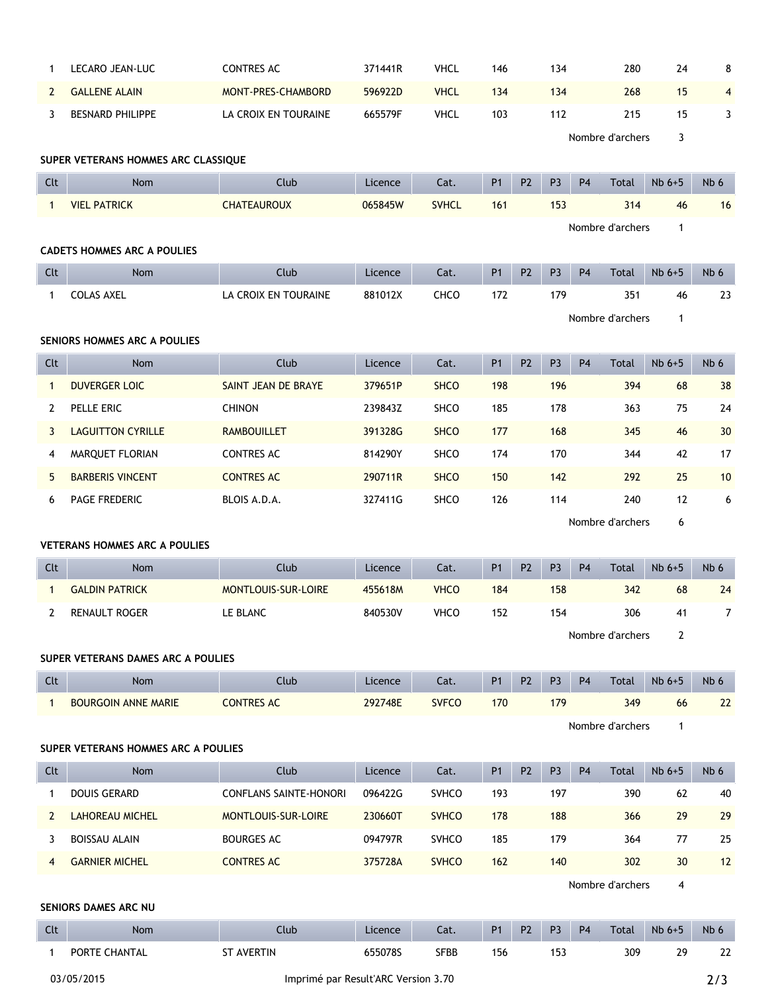| $\mathbf{1}$                        | LECARO JEAN-LUC                      | <b>CONTRES AC</b>             | 371441R | <b>VHCL</b>  | 146            |                | 134            |                | 280              | 24           | 8               |
|-------------------------------------|--------------------------------------|-------------------------------|---------|--------------|----------------|----------------|----------------|----------------|------------------|--------------|-----------------|
| $\mathbf{2}$                        | <b>GALLENE ALAIN</b>                 | MONT-PRES-CHAMBORD            | 596922D | <b>VHCL</b>  | 134            |                | 134            |                | 268              | 15           | 4               |
| 3                                   | <b>BESNARD PHILIPPE</b>              | LA CROIX EN TOURAINE          | 665579F | <b>VHCL</b>  | 103            |                | 112            |                | 215              | 15           | 3               |
|                                     | Nombre d'archers<br>3                |                               |         |              |                |                |                |                |                  |              |                 |
| SUPER VETERANS HOMMES ARC CLASSIQUE |                                      |                               |         |              |                |                |                |                |                  |              |                 |
| Clt                                 | Nom                                  | Club                          | Licence | Cat.         | P1             | P <sub>2</sub> | P <sub>3</sub> | <b>P4</b>      | Total            | $Nb 6+5$     | Nb 6            |
| $\mathbf{1}$                        | <b>VIEL PATRICK</b>                  | <b>CHATEAUROUX</b>            | 065845W | <b>SVHCL</b> | 161            |                | 153            |                | 314              | 46           | 16              |
|                                     | Nombre d'archers<br>1                |                               |         |              |                |                |                |                |                  |              |                 |
| <b>CADETS HOMMES ARC A POULIES</b>  |                                      |                               |         |              |                |                |                |                |                  |              |                 |
| Clt                                 | <b>Nom</b>                           | Club                          | Licence | Cat.         | <b>P1</b>      | P <sub>2</sub> | P <sub>3</sub> | P <sub>4</sub> | Total            | $Nb 6+5$     | Nb 6            |
| $\mathbf{1}$                        | <b>COLAS AXEL</b>                    | LA CROIX EN TOURAINE          | 881012X | CHCO         | 172            |                | 179            |                | 351              | 46           | 23              |
|                                     | Nombre d'archers<br>$\mathbf{1}$     |                               |         |              |                |                |                |                |                  |              |                 |
| SENIORS HOMMES ARC A POULIES        |                                      |                               |         |              |                |                |                |                |                  |              |                 |
| Clt                                 | Nom                                  | Club                          | Licence | Cat.         | P1             | P <sub>2</sub> | P <sub>3</sub> | <b>P4</b>      | Total            | $Nb 6+5$     | Nb 6            |
| $\mathbf{1}$                        | <b>DUVERGER LOIC</b>                 | SAINT JEAN DE BRAYE           | 379651P | <b>SHCO</b>  | 198            |                | 196            |                | 394              | 68           | 38              |
| $\mathbf{2}$                        | PELLE ERIC                           | <b>CHINON</b>                 | 239843Z | SHCO         | 185            |                | 178            |                | 363              | 75           | 24              |
| 3                                   | <b>LAGUITTON CYRILLE</b>             | <b>RAMBOUILLET</b>            | 391328G | <b>SHCO</b>  | 177            |                | 168            |                | 345              | 46           | 30              |
| 4                                   | MARQUET FLORIAN                      | <b>CONTRES AC</b>             | 814290Y | SHCO         | 174            |                | 170            |                | 344              | 42           | 17              |
| 5                                   | <b>BARBERIS VINCENT</b>              | <b>CONTRES AC</b>             | 290711R | <b>SHCO</b>  | 150            |                | 142            |                | 292              | 25           | 10              |
| 6                                   | PAGE FREDERIC                        | BLOIS A.D.A.                  | 327411G | SHCO         | 126            |                | 114            |                | 240              | 12           | 6               |
|                                     |                                      |                               |         |              |                |                |                |                |                  |              |                 |
|                                     |                                      |                               |         |              |                |                |                |                | Nombre d'archers | 6            |                 |
|                                     | <b>VETERANS HOMMES ARC A POULIES</b> |                               |         |              |                |                |                |                |                  |              |                 |
| Clt                                 | <b>Nom</b>                           | Club                          | Licence | Cat.         | P1             | P <sub>2</sub> | P <sub>3</sub> | P <sub>4</sub> | Total            | $Nb6+5$      | Nb <sub>6</sub> |
| $\mathbf{1}$                        | <b>GALDIN PATRICK</b>                | MONTLOUIS-SUR-LOIRE           | 455618M | <b>VHCO</b>  | 184            |                | 158            |                | 342              | 68           | 24              |
| $\overline{2}$                      | RENAULT ROGER                        | LE BLANC                      | 840530V | <b>VHCO</b>  | 152            |                | 154            |                | 306              | 41           | $\overline{7}$  |
|                                     |                                      |                               |         |              |                |                |                |                | Nombre d'archers | 2            |                 |
|                                     | SUPER VETERANS DAMES ARC A POULIES   |                               |         |              |                |                |                |                |                  |              |                 |
| Clt                                 | <b>Nom</b>                           | Club                          | Licence | Cat.         | P1             | P <sub>2</sub> | P <sub>3</sub> | <b>P4</b>      | Total            | $Nb6+5$      | Nb 6            |
| $\mathbf{1}$                        | <b>BOURGOIN ANNE MARIE</b>           | <b>CONTRES AC</b>             | 292748E | <b>SVFCO</b> | 170            |                | 179            |                | 349              | 66           | 22              |
|                                     |                                      |                               |         |              |                |                |                |                | Nombre d'archers | $\mathbf{1}$ |                 |
|                                     | SUPER VETERANS HOMMES ARC A POULIES  |                               |         |              |                |                |                |                |                  |              |                 |
| Clt                                 | Nom                                  | Club                          | Licence | Cat.         | P <sub>1</sub> | P <sub>2</sub> | P <sub>3</sub> | P <sub>4</sub> | Total            | $Nb6+5$      | Nb 6            |
| $\mathbf{1}$                        | <b>DOUIS GERARD</b>                  | <b>CONFLANS SAINTE-HONORI</b> | 096422G | <b>SVHCO</b> | 193            |                | 197            |                | 390              | 62           | 40              |
| $\mathbf{2}$                        | <b>LAHOREAU MICHEL</b>               | MONTLOUIS-SUR-LOIRE           | 230660T | <b>SVHCO</b> | 178            |                | 188            |                | 366              | 29           | 29              |
| 3                                   | <b>BOISSAU ALAIN</b>                 | <b>BOURGES AC</b>             | 094797R | SVHCO        | 185            |                | 179            |                | 364              | 77           | 25              |
| $\overline{4}$                      | <b>GARNIER MICHEL</b>                | <b>CONTRES AC</b>             | 375728A | <b>SVHCO</b> | 162            |                | 140            |                | 302              | 30           | 12              |
|                                     |                                      |                               |         |              |                |                |                |                | Nombre d'archers | 4            |                 |
|                                     | SENIORS DAMES ARC NU                 |                               |         |              |                |                |                |                |                  |              |                 |
| Clt                                 | Nom                                  | Club                          | Licence | Cat.         | P1             | P <sub>2</sub> | P <sub>3</sub> | <b>P4</b>      | Total            | $Nb6+5$      | Nb 6            |